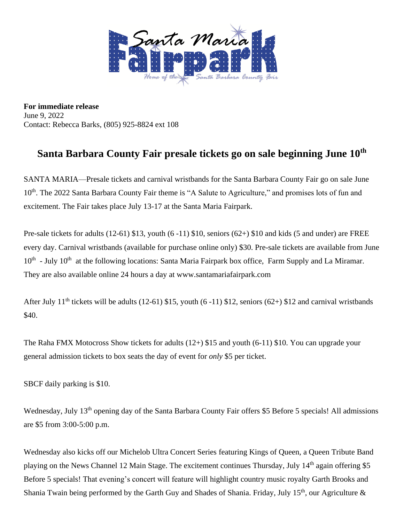

**For immediate release** June 9, 2022 Contact: Rebecca Barks, (805) 925-8824 ext 108

## **Santa Barbara County Fair presale tickets go on sale beginning June 10th**

SANTA MARIA—Presale tickets and carnival wristbands for the Santa Barbara County Fair go on sale June 10<sup>th</sup>. The 2022 Santa Barbara County Fair theme is "A Salute to Agriculture," and promises lots of fun and excitement. The Fair takes place July 13-17 at the Santa Maria Fairpark.

Pre-sale tickets for adults (12-61) \$13, youth (6 -11) \$10, seniors (62+) \$10 and kids (5 and under) are FREE every day. Carnival wristbands (available for purchase online only) \$30. Pre-sale tickets are available from June 10<sup>th</sup> - July 10<sup>th</sup> at the following locations: Santa Maria Fairpark box office, Farm Supply and La Miramar. They are also available online 24 hours a day at www.santamariafairpark.com

After July 11<sup>th</sup> tickets will be adults (12-61) \$15, youth (6-11) \$12, seniors (62+) \$12 and carnival wristbands \$40.

The Raha FMX Motocross Show tickets for adults (12+) \$15 and youth (6-11) \$10. You can upgrade your general admission tickets to box seats the day of event for *only* \$5 per ticket.

SBCF daily parking is \$10.

Wednesday, July 13<sup>th</sup> opening day of the Santa Barbara County Fair offers \$5 Before 5 specials! All admissions are \$5 from 3:00-5:00 p.m.

Wednesday also kicks off our Michelob Ultra Concert Series featuring Kings of Queen, a Queen Tribute Band playing on the News Channel 12 Main Stage. The excitement continues Thursday, July 14<sup>th</sup> again offering \$5 Before 5 specials! That evening's concert will feature will highlight country music royalty Garth Brooks and Shania Twain being performed by the Garth Guy and Shades of Shania. Friday, July 15<sup>th</sup>, our Agriculture  $\&$